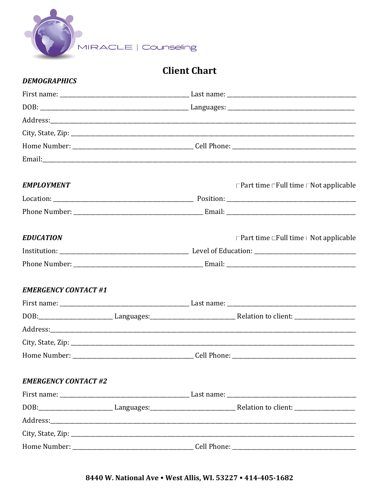

# **Client Chart**

#### **DEMOGRAPHICS**

| <b>EMPLOYMENT</b>           |  |  | $\Box$ Part time $\Box$ Full time $\Box$ Not applicable                                                                                 |
|-----------------------------|--|--|-----------------------------------------------------------------------------------------------------------------------------------------|
|                             |  |  |                                                                                                                                         |
|                             |  |  |                                                                                                                                         |
| <b>EDUCATION</b>            |  |  | □ Part time $\Box$ Full time   Not applicable                                                                                           |
|                             |  |  |                                                                                                                                         |
|                             |  |  |                                                                                                                                         |
| <b>EMERGENCY CONTACT #1</b> |  |  |                                                                                                                                         |
|                             |  |  |                                                                                                                                         |
|                             |  |  | DOB:________________________________Languages:__________________________________Relation to client: ___________________________________ |
|                             |  |  |                                                                                                                                         |
|                             |  |  |                                                                                                                                         |
|                             |  |  |                                                                                                                                         |
| <b>EMERGENCY CONTACT #2</b> |  |  |                                                                                                                                         |
|                             |  |  |                                                                                                                                         |
|                             |  |  | DOB: _______________________________Languages: __________________________________Relation to client: __________________________________ |
|                             |  |  |                                                                                                                                         |
|                             |  |  |                                                                                                                                         |
|                             |  |  |                                                                                                                                         |